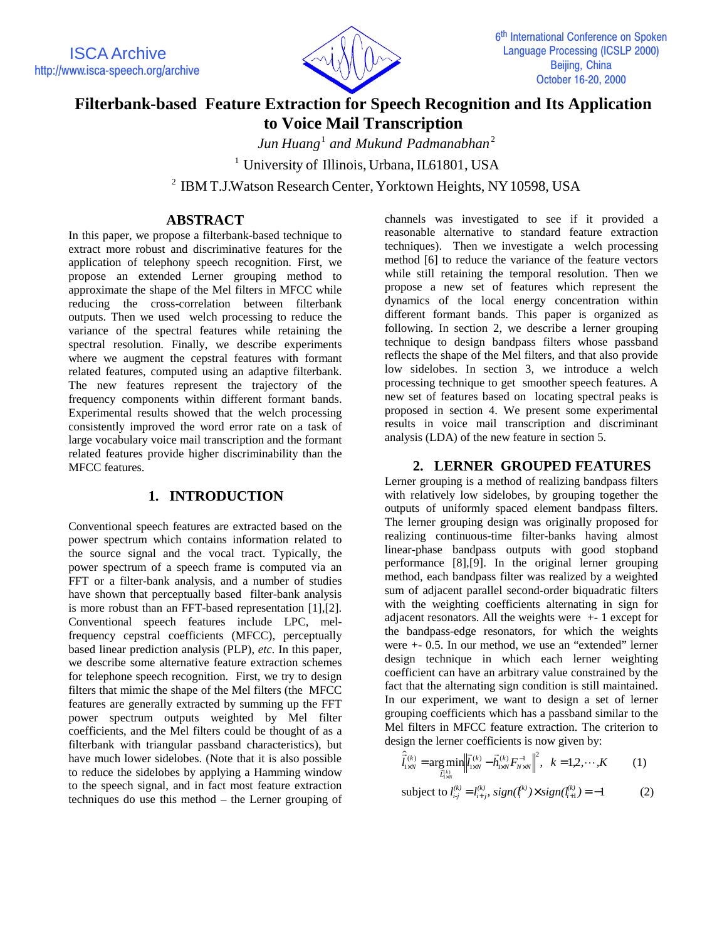

# **Filterbank-based Feature Extraction for Speech Recognition and Its Application to Voice Mail Transcription**

<sup>1</sup> <sup>2</sup> *Jun Huang and Mukund Padmanabhan*

<sup>1</sup> University of Illinois, Urbana, IL61801, USA

<sup>2</sup> IBM T.J.Watson Research Center, Yorktown Heights, NY 10598, USA

# **ABSTRACT**

In this paper, we propose a filterbank-based technique to extract more robust and discriminative features for the application of telephony speech recognition. First, we propose an extended Lerner grouping method to approximate the shape of the Mel filters in MFCC while reducing the cross-correlation between filterbank outputs. Then we used welch processing to reduce the variance of the spectral features while retaining the spectral resolution. Finally, we describe experiments where we augment the cepstral features with formant related features, computed using an adaptive filterbank. The new features represent the trajectory of the frequency components within different formant bands. Experimental results showed that the welch processing consistently improved the word error rate on a task of large vocabulary voice mail transcription and the formant related features provide higher discriminability than the MFCC features.

# **1. INTRODUCTION**

Conventional speech features are extracted based on the power spectrum which contains information related to the source signal and the vocal tract. Typically, the power spectrum of a speech frame is computed via an FFT or a filter-bank analysis, and a number of studies have shown that perceptually based filter-bank analysis is more robust than an FFT-based representation [1],[2]. Conventional speech features include LPC, melfrequency cepstral coefficients (MFCC), perceptually based linear prediction analysis (PLP), *etc.* In this paper, we describe some alternative feature extraction schemes for telephone speech recognition. First, we try to design filters that mimic the shape of the Mel filters (the MFCC features are generally extracted by summing up the FFT power spectrum outputs weighted by Mel filter coefficients, and the Mel filters could be thought of as a filterbank with triangular passband characteristics), but have much lower sidelobes. (Note that it is also possible to reduce the sidelobes by applying a Hamming window to the speech signal, and in fact most feature extraction techniques do use this method – the Lerner grouping of

channels was investigated to see if it provided a reasonable alternative to standard feature extraction techniques). Then we investigate a welch processing method [6] to reduce the variance of the feature vectors while still retaining the temporal resolution. Then we propose a new set of features which represent the dynamics of the local energy concentration within different formant bands. This paper is organized as following. In section 2, we describe a lerner grouping technique to design bandpass filters whose passband reflects the shape of the Mel filters, and that also provide low sidelobes. In section 3, we introduce a welch processing technique to get smoother speech features. A new set of features based on locating spectral peaks is proposed in section 4. We present some experimental results in voice mail transcription and discriminant analysis (LDA) of the new feature in section 5.

## **2. LERNER GROUPED FEATURES**

Lerner grouping is a method of realizing bandpass filters with relatively low sidelobes, by grouping together the outputs of uniformly spaced element bandpass filters. The lerner grouping design was originally proposed for realizing continuous-time filter-banks having almost linear-phase bandpass outputs with good stopband performance [8],[9]. In the original lerner grouping method, each bandpass filter was realized by a weighted sum of adjacent parallel second-order biquadratic filters with the weighting coefficients alternating in sign for adjacent resonators. All the weights were +- 1 except for the bandpass-edge resonators, for which the weights were +- 0.5. In our method, we use an "extended" lerner design technique in which each lerner weighting coefficient can have an arbitrary value constrained by the fact that the alternating sign condition is still maintained. In our experiment, we want to design a set of lerner grouping coefficients which has a passband similar to the Mel filters in MFCC feature extraction. The criterion to design the lerner coefficients is now given by:

$$
\hat{\vec{l}}_{1\times N}^{(k)} = \underset{\vec{l}_{1\times N}^{(k)}}{\arg \min} \left\| \vec{l}_{1\times N}^{(k)} - \vec{h}_{1\times N}^{(k)} F_{N\times N}^{-1} \right\|^2, \quad k = 1, 2, \cdots, K \tag{1}
$$

subject to 
$$
l_{i,j}^{(k)} = l_{i+j}^{(k)}, sign(l_i^{(k)}) \times sign(l_{i+1}^{(k)}) = -1
$$
 (2)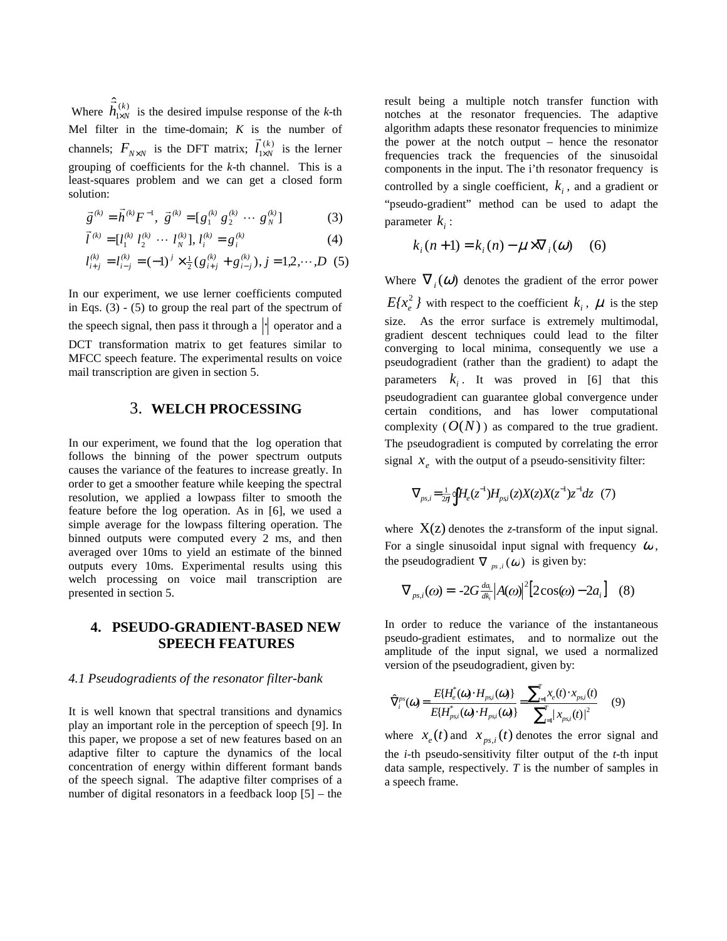Where  $\hat{\vec{h}}_{1 \times N}^{(k)}$  is the desired impulse response of the *k*-th Mel filter in the time-domain; *K* is the number of channels;  $F_{N \times N}$  is the DFT matrix;  $\vec{l}_{1 \times N}^{(k)}$  $\vec{l}_{1 \times N}^{(k)}$  is the lerner grouping of coefficients for the *k*-th channel. This is a least-squares problem and we can get a closed form solution:

$$
\vec{g}^{(k)} = \vec{h}^{(k)} F^{-1}, \ \vec{g}^{(k)} = [g_1^{(k)} g_2^{(k)} \cdots g_N^{(k)}]
$$
(3)

$$
\vec{l}^{(k)} = [l_1^{(k)} \; l_2^{(k)} \; \cdots \; l_N^{(k)}], \; l_i^{(k)} = g_i^{(k)} \tag{4}
$$

$$
l_{i+j}^{(k)} = l_{i-j}^{(k)} = (-1)^j \times \frac{1}{2} (g_{i+j}^{(k)} + g_{i-j}^{(k)}), j = 1,2,\cdots,D \tag{5}
$$

In our experiment, we use lerner coefficients computed in Eqs. (3) - (5) to group the real part of the spectrum of the speech signal, then pass it through a  $\left\| \cdot \right\|$  operator and a DCT transformation matrix to get features similar to MFCC speech feature. The experimental results on voice mail transcription are given in section 5.

## 3. **WELCH PROCESSING**

In our experiment, we found that the log operation that follows the binning of the power spectrum outputs causes the variance of the features to increase greatly. In order to get a smoother feature while keeping the spectral resolution, we applied a lowpass filter to smooth the feature before the log operation. As in [6], we used a simple average for the lowpass filtering operation. The binned outputs were computed every 2 ms, and then averaged over 10ms to yield an estimate of the binned outputs every 10ms. Experimental results using this welch processing on voice mail transcription are presented in section 5.

# **4. PSEUDO-GRADIENT-BASED NEW SPEECH FEATURES**

### *4.1 Pseudogradients of the resonator filter-bank*

It is well known that spectral transitions and dynamics play an important role in the perception of speech [9]. In this paper, we propose a set of new features based on an adaptive filter to capture the dynamics of the local concentration of energy within different formant bands of the speech signal. The adaptive filter comprises of a number of digital resonators in a feedback loop [5] – the result being a multiple notch transfer function with notches at the resonator frequencies. The adaptive algorithm adapts these resonator frequencies to minimize the power at the notch output – hence the resonator frequencies track the frequencies of the sinusoidal components in the input. The i'th resonator frequency is controlled by a single coefficient,  $k<sub>i</sub>$ , and a gradient or "pseudo-gradient" method can be used to adapt the parameter  $k_i$  :

$$
k_i(n+1) = k_i(n) - \mu \times \nabla_i(\omega) \quad (6)
$$

Where  $\nabla_i(\omega)$  denotes the gradient of the error power  $E(x_e^2)$  with respect to the coefficient  $k_i$ ,  $\mu$  is the step size. As the error surface is extremely multimodal, gradient descent techniques could lead to the filter converging to local minima, consequently we use a pseudogradient (rather than the gradient) to adapt the parameters  $k_i$ . It was proved in [6] that this pseudogradient can guarantee global convergence under certain conditions, and has lower computational complexity  $(O(N))$  as compared to the true gradient. The pseudogradient is computed by correlating the error signal  $x_e$  with the output of a pseudo-sensitivity filter:

$$
\nabla_{ps,i} = \frac{1}{2\pi} \oint H_e(z^{-1}) H_{psi}(z) X(z) X(z^{-1}) z^{-1} dz
$$
 (7)

where  $X(z)$  denotes the *z*-transform of the input signal. For a single sinusoidal input signal with frequency  $\omega$ , the pseudogradient  $\nabla_{pS,i}(\omega)$  is given by:

$$
\nabla_{ps,i}(\omega) = -2G \frac{da_i}{dk_i} \left| A(\omega) \right|^2 \left[ 2\cos(\omega) - 2a_i \right] \quad (8)
$$

In order to reduce the variance of the instantaneous pseudo-gradient estimates, and to normalize out the amplitude of the input signal, we used a normalized version of the pseudogradient, given by:

$$
\widehat{\nabla}^{ps}_{i}(\omega) = \frac{E\{H_{e}^{*}(\omega) \cdot H_{psi}(\omega)\}}{E\{H_{psi}^{*}(\omega) \cdot H_{psi}(\omega)\}} = \frac{\sum_{i=1}^{T} x_{e}(t) \cdot x_{psi}(t)}{\sum_{i=1}^{T} |x_{psi}(t)|^{2}} \qquad (9)
$$

where  $x_e(t)$  and  $x_{ps,i}(t)$  denotes the error signal and the *i*-th pseudo-sensitivity filter output of the *t*-th input data sample, respectively. *T* is the number of samples in a speech frame.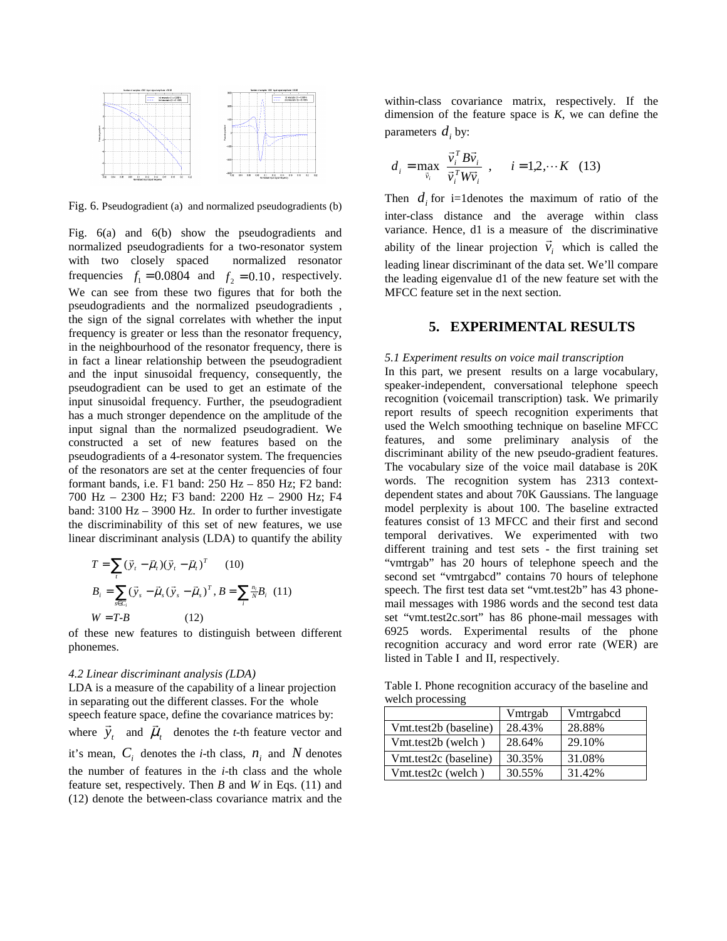

Fig. 6. Pseudogradient (a) and normalized pseudogradients (b)

Fig. 6(a) and 6(b) show the pseudogradients and normalized pseudogradients for a two-resonator system with two closely spaced normalized resonator frequencies  $f_1 = 0.0804$  and  $f_2 = 0.10$ , respectively. We can see from these two figures that for both the pseudogradients and the normalized pseudogradients , the sign of the signal correlates with whether the input frequency is greater or less than the resonator frequency, in the neighbourhood of the resonator frequency, there is in fact a linear relationship between the pseudogradient and the input sinusoidal frequency, consequently, the pseudogradient can be used to get an estimate of the input sinusoidal frequency. Further, the pseudogradient has a much stronger dependence on the amplitude of the input signal than the normalized pseudogradient. We constructed a set of new features based on the pseudogradients of a 4-resonator system. The frequencies of the resonators are set at the center frequencies of four formant bands, i.e. F1 band: 250 Hz – 850 Hz; F2 band: 700 Hz – 2300 Hz; F3 band: 2200 Hz – 2900 Hz; F4 band: 3100 Hz – 3900 Hz. In order to further investigate the discriminability of this set of new features, we use linear discriminant analysis (LDA) to quantify the ability

$$
T = \sum_{i} (\vec{y}_{i} - \vec{\mu}_{i})(\vec{y}_{i} - \vec{\mu}_{i})^{T} \qquad (10)
$$
  
\n
$$
B_{i} = \sum_{s \in C_{i}} (\vec{y}_{s} - \vec{\mu}_{s}(\vec{y}_{s} - \vec{\mu}_{s})^{T}, B = \sum_{i} \frac{n_{i}}{N} B_{i} \quad (11)
$$
  
\n
$$
W = T - B \qquad (12)
$$

of these new features to distinguish between different phonemes.

#### *4.2 Linear discriminant analysis (LDA)*

LDA is a measure of the capability of a linear projection in separating out the different classes. For the whole speech feature space, define the covariance matrices by: speech ie.<br>where  $\vec{y}_t$ and  $\vec{\mu}_t$  $\vec{u}_t$  denotes the *t*-th feature vector and  $\vec{u}_t$ it's mean,  $C_i$  denotes the *i*-th class,  $n_i$  and  $N$  denotes the number of features in the *i*-th class and the whole feature set, respectively. Then *B* and *W* in Eqs. (11) and (12) denote the between-class covariance matrix and the

within-class covariance matrix, respectively. If the dimension of the feature space is *K*, we can define the parameters  $d_i$  by:

$$
d_i = \max_{\bar{v}_i} \left\{ \frac{\vec{v}_i^T B \vec{v}_i}{\vec{v}_i^T W \vec{v}_i} \right\}, \quad i = 1, 2, \cdots K \quad (13)
$$

Then  $d_i$  for i=1 denotes the maximum of ratio of the inter-class distance and the average within class variance. Hence, d1 is a measure of the discriminative variance. Hence, at is a measure of the discriminative<br>ability of the linear projection  $\vec{v}_i$  which is called the leading linear discriminant of the data set. We'll compare the leading eigenvalue d1 of the new feature set with the MFCC feature set in the next section.

### **5. EXPERIMENTAL RESULTS**

#### *5.1 Experiment results on voice mail transcription*

In this part, we present results on a large vocabulary, speaker-independent, conversational telephone speech recognition (voicemail transcription) task. We primarily report results of speech recognition experiments that used the Welch smoothing technique on baseline MFCC features, and some preliminary analysis of the discriminant ability of the new pseudo-gradient features. The vocabulary size of the voice mail database is 20K words. The recognition system has 2313 contextdependent states and about 70K Gaussians. The language model perplexity is about 100. The baseline extracted features consist of 13 MFCC and their first and second temporal derivatives. We experimented with two different training and test sets - the first training set "vmtrgab" has 20 hours of telephone speech and the second set "vmtrgabcd" contains 70 hours of telephone speech. The first test data set "vmt.test2b" has 43 phonemail messages with 1986 words and the second test data set "vmt.test2c.sort" has 86 phone-mail messages with 6925 words. Experimental results of the phone recognition accuracy and word error rate (WER) are listed in Table I and II, respectively.

Table I. Phone recognition accuracy of the baseline and welch processing

|                       | Vmtrgab | Vmtrgabod |
|-----------------------|---------|-----------|
| Vmt.test2b (baseline) | 28.43%  | 28.88%    |
| Vmt.test2b (welch)    | 28.64%  | 29.10%    |
| Vmt.test2c (baseline) | 30.35%  | 31.08%    |
| Vmt.test2c (welch)    | 30.55%  | 31.42%    |